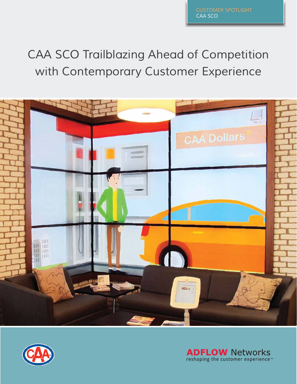# CAA SCO Trailblazing Ahead of Competition with Contemporary Customer Experience





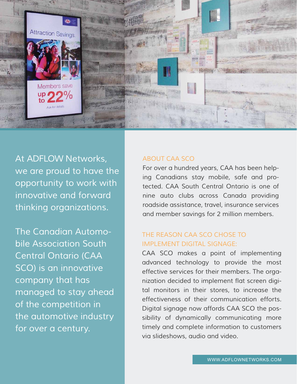

At ADFLOW Networks, we are proud to have the opportunity to work with innovative and forward thinking organizations.

The Canadian Automobile Association South Central Ontario (CAA SCO) is an innovative company that has managed to stay ahead of the competition in the automotive industry for over a century.

#### ABOUT CAA SCO

For over a hundred years, CAA has been helping Canadians stay mobile, safe and protected. CAA South Central Ontario is one of nine auto clubs across Canada providing roadside assistance, travel, insurance services and member savings for 2 million members.

### THE REASON CAA SCO CHOSE TO IMPLEMENT DIGITAL SIGNAGE:

CAA SCO makes a point of implementing advanced technology to provide the most effective services for their members. The organization decided to implement flat screen digital monitors in their stores, to increase the effectiveness of their communication efforts. Digital signage now affords CAA SCO the possibility of dynamically communicating more timely and complete information to customers via slideshows, audio and video.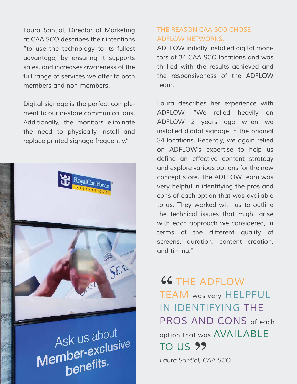Laura Santlal, Director of Marketing at CAA SCO describes their intentions "to use the technology to its fullest advantage, by ensuring it supports sales, and increases awareness of the full range of services we offer to both members and non-members.

Digital signage is the perfect complement to our in-store communications. Additionally, the monitors eliminate the need to physically install and replace printed signage frequently."



Ask us about Member-exclusive ber-extreption

## THE REASON CAA SCO CHOSE ADFLOW NETWORKS:

ADFLOW initially installed digital monitors at 34 CAA SCO locations and was thrilled with the results achieved and the responsiveness of the ADFLOW team.

Laura describes her experience with ADFLOW, "We relied heavily on ADFLOW 2 years ago when we installed digital signage in the original 34 locations. Recently, we again relied on ADFLOW's expertise to help us define an effective content strategy and explore various options for the new concept store. The ADFLOW team was very helpful in identifying the pros and cons of each option that was available to us. They worked with us to outline the technical issues that might arise with each approach we considered, in terms of the different quality of screens, duration, content creation, and timing."

**66 THE ADFLOW**<br>TEAM HELL TEAM was very HELPFUL IN IDENTIFYING THE PROS AND CONS of each option that was AVAILABLE TO US E

*Laura Santlal, CAA SCO*